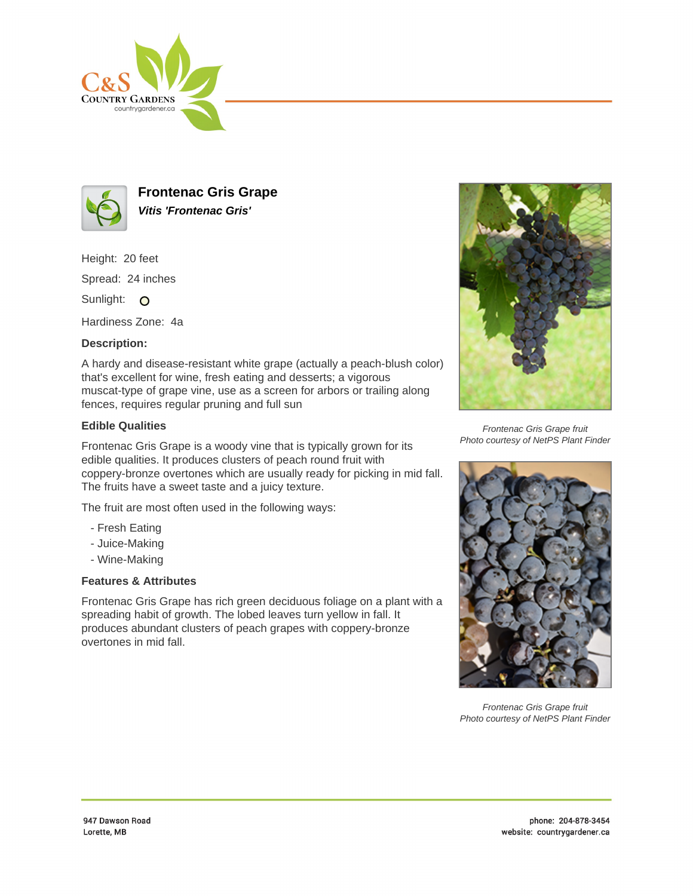



**Frontenac Gris Grape Vitis 'Frontenac Gris'**

Height: 20 feet

Spread: 24 inches

Sunlight: O

Hardiness Zone: 4a

## **Description:**

A hardy and disease-resistant white grape (actually a peach-blush color) that's excellent for wine, fresh eating and desserts; a vigorous muscat-type of grape vine, use as a screen for arbors or trailing along fences, requires regular pruning and full sun

## **Edible Qualities**

Frontenac Gris Grape is a woody vine that is typically grown for its edible qualities. It produces clusters of peach round fruit with coppery-bronze overtones which are usually ready for picking in mid fall. The fruits have a sweet taste and a juicy texture.

The fruit are most often used in the following ways:

- Fresh Eating
- Juice-Making
- Wine-Making

# **Features & Attributes**

Frontenac Gris Grape has rich green deciduous foliage on a plant with a spreading habit of growth. The lobed leaves turn yellow in fall. It produces abundant clusters of peach grapes with coppery-bronze overtones in mid fall.



Frontenac Gris Grape fruit Photo courtesy of NetPS Plant Finder



Frontenac Gris Grape fruit Photo courtesy of NetPS Plant Finder